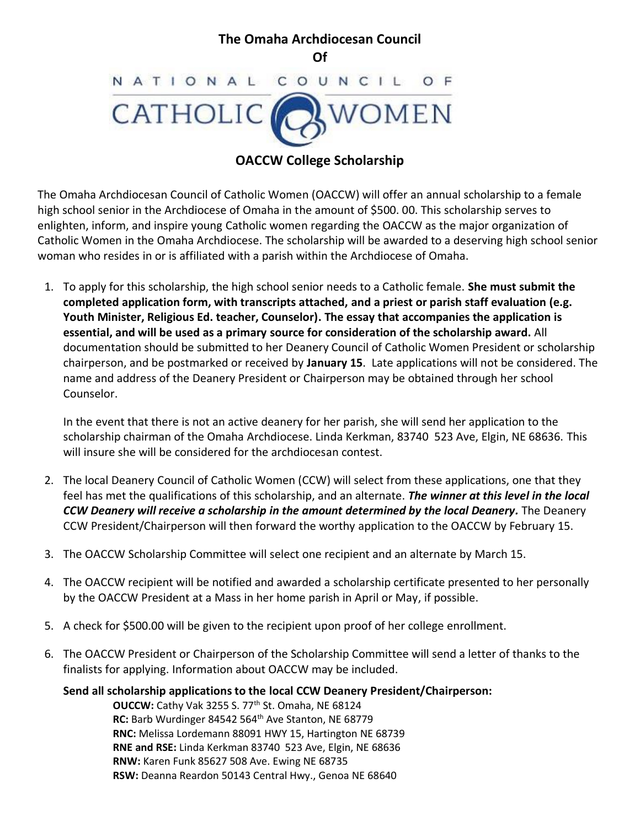#### **The Omaha Archdiocesan Council Of** NATIONAL C  $\circ$ UNCIL



# **OACCW College Scholarship**

The Omaha Archdiocesan Council of Catholic Women (OACCW) will offer an annual scholarship to a female high school senior in the Archdiocese of Omaha in the amount of \$500. 00. This scholarship serves to enlighten, inform, and inspire young Catholic women regarding the OACCW as the major organization of Catholic Women in the Omaha Archdiocese. The scholarship will be awarded to a deserving high school senior woman who resides in or is affiliated with a parish within the Archdiocese of Omaha.

1. To apply for this scholarship, the high school senior needs to a Catholic female. **She must submit the completed application form, with transcripts attached, and a priest or parish staff evaluation (e.g. Youth Minister, Religious Ed. teacher, Counselor). The essay that accompanies the application is essential, and will be used as a primary source for consideration of the scholarship award.** All documentation should be submitted to her Deanery Council of Catholic Women President or scholarship chairperson, and be postmarked or received by **January 15**. Late applications will not be considered. The name and address of the Deanery President or Chairperson may be obtained through her school Counselor.

In the event that there is not an active deanery for her parish, she will send her application to the scholarship chairman of the Omaha Archdiocese. Linda Kerkman, 83740 523 Ave, Elgin, NE 68636. This will insure she will be considered for the archdiocesan contest.

- 2. The local Deanery Council of Catholic Women (CCW) will select from these applications, one that they feel has met the qualifications of this scholarship, and an alternate. *The winner at this level in the local CCW Deanery will receive a scholarship in the amount determined by the local Deanery.* The Deanery CCW President/Chairperson will then forward the worthy application to the OACCW by February 15.
- 3. The OACCW Scholarship Committee will select one recipient and an alternate by March 15.
- 4. The OACCW recipient will be notified and awarded a scholarship certificate presented to her personally by the OACCW President at a Mass in her home parish in April or May, if possible.
- 5. A check for \$500.00 will be given to the recipient upon proof of her college enrollment.
- 6. The OACCW President or Chairperson of the Scholarship Committee will send a letter of thanks to the finalists for applying. Information about OACCW may be included.

## **Send all scholarship applications to the local CCW Deanery President/Chairperson:**

 **OUCCW:** Cathy Vak 3255 S. 77th St. Omaha, NE 68124 **RC:** Barb Wurdinger 84542 564<sup>th</sup> Ave Stanton, NE 68779 **RNC:** Melissa Lordemann 88091 HWY 15, Hartington NE 68739 **RNE and RSE:** Linda Kerkman 83740 523 Ave, Elgin, NE 68636 **RNW:** Karen Funk 85627 508 Ave. Ewing NE 68735 **RSW:** Deanna Reardon 50143 Central Hwy., Genoa NE 68640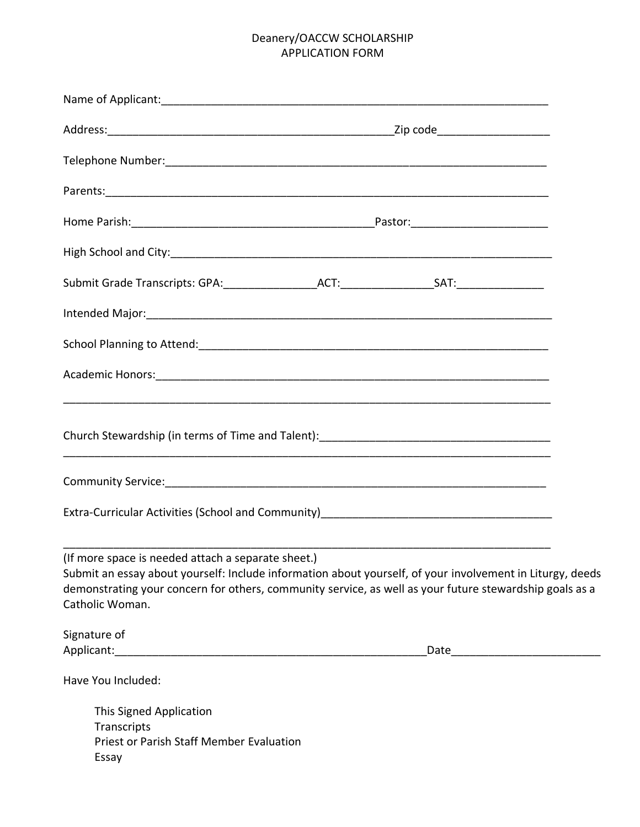# Deanery/OACCW SCHOLARSHIP APPLICATION FORM

| Submit Grade Transcripts: GPA: ____________________ACT: ___________________SAT: ___________________                                                                                                                                                                                           |  |                                 |  |
|-----------------------------------------------------------------------------------------------------------------------------------------------------------------------------------------------------------------------------------------------------------------------------------------------|--|---------------------------------|--|
| Intended Major: 1998 Major: 1999 March 2010 March 2010 March 2010 March 2010 March 2010 Major: 1999 March 2010                                                                                                                                                                                |  |                                 |  |
|                                                                                                                                                                                                                                                                                               |  |                                 |  |
|                                                                                                                                                                                                                                                                                               |  |                                 |  |
|                                                                                                                                                                                                                                                                                               |  |                                 |  |
|                                                                                                                                                                                                                                                                                               |  |                                 |  |
|                                                                                                                                                                                                                                                                                               |  |                                 |  |
| (If more space is needed attach a separate sheet.)<br>Submit an essay about yourself: Include information about yourself, of your involvement in Liturgy, deeds<br>demonstrating your concern for others, community service, as well as your future stewardship goals as a<br>Catholic Woman. |  |                                 |  |
| Signature of                                                                                                                                                                                                                                                                                  |  | Date __________________________ |  |
| Have You Included:                                                                                                                                                                                                                                                                            |  |                                 |  |
| This Signed Application<br>Transcripts<br><b>Priest or Parish Staff Member Evaluation</b><br>Essay                                                                                                                                                                                            |  |                                 |  |